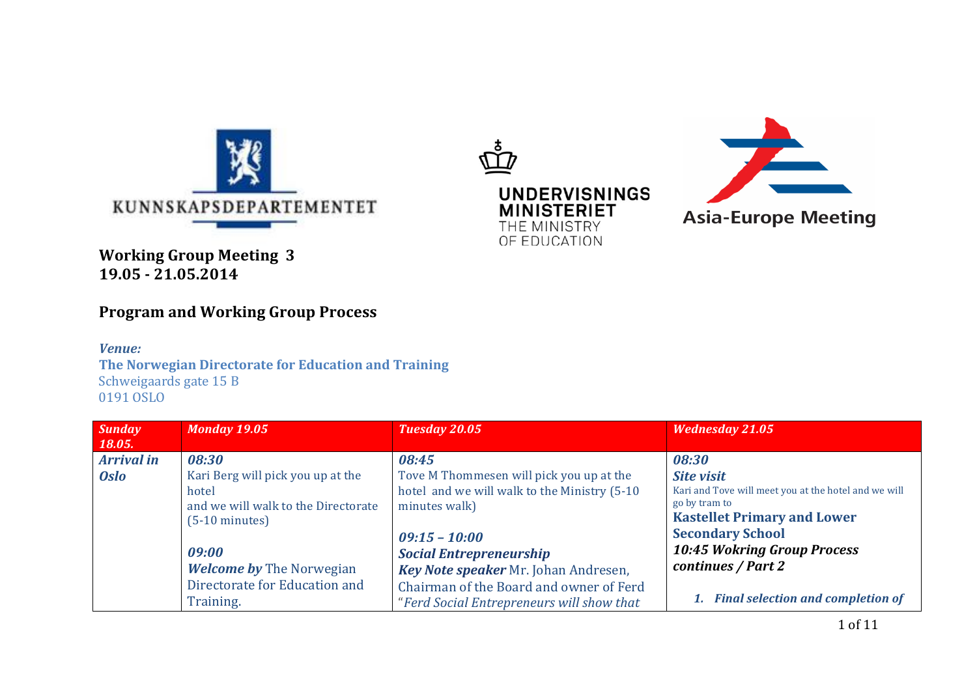





**Working Group Meeting 3 19.05 - 21.05.2014** 

# **Program and Working Group Process**

*Venue:*

**The Norwegian Directorate for Education and Training** Schweigaards gate 15 B 0191 OSLO

| <b>Sunday</b><br><b>18.05.</b>   | <b>Monday 19.05</b>                                                      | Tuesday 20.05                                                                             | <b>Wednesday 21.05</b>                                                                                      |
|----------------------------------|--------------------------------------------------------------------------|-------------------------------------------------------------------------------------------|-------------------------------------------------------------------------------------------------------------|
| <b>Arrival in</b><br><b>Oslo</b> | 08:30<br>Kari Berg will pick you up at the                               | 08:45<br>Tove M Thommesen will pick you up at the                                         | 08:30<br><b>Site visit</b>                                                                                  |
|                                  | hotel<br>and we will walk to the Directorate<br>$(5-10 \text{ minutes})$ | hotel and we will walk to the Ministry (5-10)<br>minutes walk)                            | Kari and Tove will meet you at the hotel and we will<br>go by tram to<br><b>Kastellet Primary and Lower</b> |
|                                  | 09:00<br><b>Welcome by The Norwegian</b>                                 | $09:15 - 10:00$<br><b>Social Entrepreneurship</b><br>Key Note speaker Mr. Johan Andresen, | <b>Secondary School</b><br><b>10:45 Wokring Group Process</b><br>continues / Part 2                         |
|                                  | Directorate for Education and<br>Training.                               | Chairman of the Board and owner of Ferd<br>"Ferd Social Entrepreneurs will show that      | 1. Final selection and completion of                                                                        |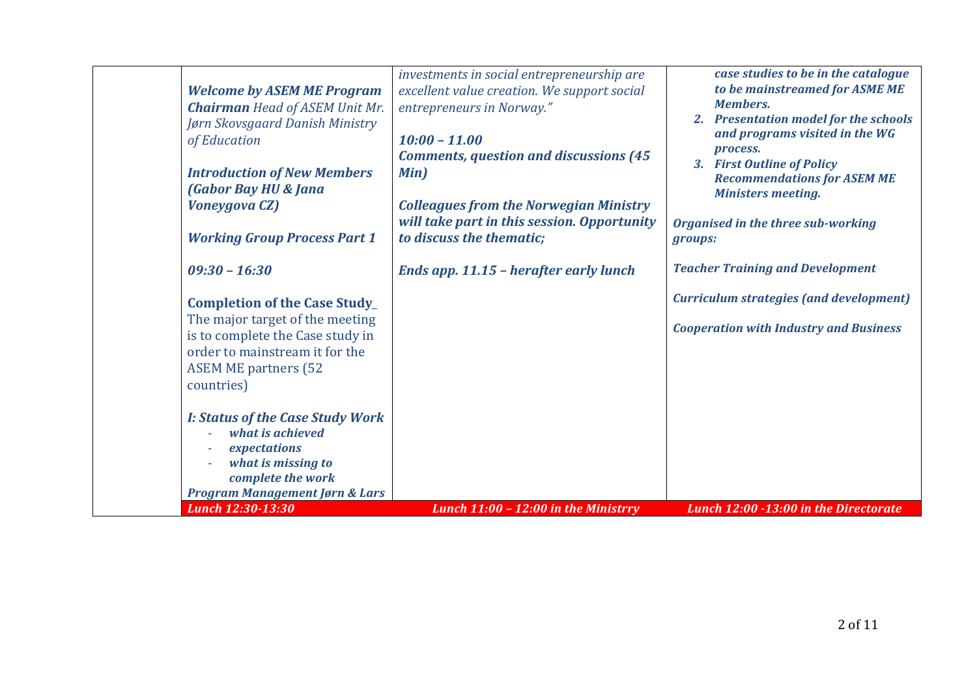| <b>Welcome by ASEM ME Program</b><br><b>Chairman</b> Head of ASEM Unit Mr.<br>Jørn Skovsgaard Danish Ministry<br>of Education<br><b>Introduction of New Members</b><br><b>(Gabor Bay HU &amp; Jana</b><br><b>Voneygova CZ)</b><br><b>Working Group Process Part 1</b> | investments in social entrepreneurship are<br>excellent value creation. We support social<br>entrepreneurs in Norway."<br>$10:00 - 11.00$<br><b>Comments, question and discussions (45)</b><br>Min)<br><b>Colleagues from the Norwegian Ministry</b><br>will take part in this session. Opportunity<br>to discuss the thematic; | case studies to be in the catalogue<br>to be mainstreamed for ASME ME<br><b>Members.</b><br>2. Presentation model for the schools<br>and programs visited in the WG<br>process.<br>3. First Outline of Policy<br><b>Recommendations for ASEM ME</b><br><b>Ministers meeting.</b><br>Organised in the three sub-working<br>groups: |
|-----------------------------------------------------------------------------------------------------------------------------------------------------------------------------------------------------------------------------------------------------------------------|---------------------------------------------------------------------------------------------------------------------------------------------------------------------------------------------------------------------------------------------------------------------------------------------------------------------------------|-----------------------------------------------------------------------------------------------------------------------------------------------------------------------------------------------------------------------------------------------------------------------------------------------------------------------------------|
| $09:30 - 16:30$                                                                                                                                                                                                                                                       | Ends app. 11.15 - herafter early lunch                                                                                                                                                                                                                                                                                          | <b>Teacher Training and Development</b>                                                                                                                                                                                                                                                                                           |
| <b>Completion of the Case Study_</b><br>The major target of the meeting<br>is to complete the Case study in<br>order to mainstream it for the<br><b>ASEM ME partners (52</b><br>countries)                                                                            |                                                                                                                                                                                                                                                                                                                                 | <b>Curriculum strategies (and development)</b><br><b>Cooperation with Industry and Business</b>                                                                                                                                                                                                                                   |
| <b>I: Status of the Case Study Work</b><br>what is achieved<br>expectations<br>what is missing to<br>complete the work<br><b>Program Management Jørn &amp; Lars</b><br><b>Lunch 12:30-13:30</b>                                                                       | Lunch $11:00 - 12:00$ in the Ministrry                                                                                                                                                                                                                                                                                          | Lunch 12:00 -13:00 in the Directorate                                                                                                                                                                                                                                                                                             |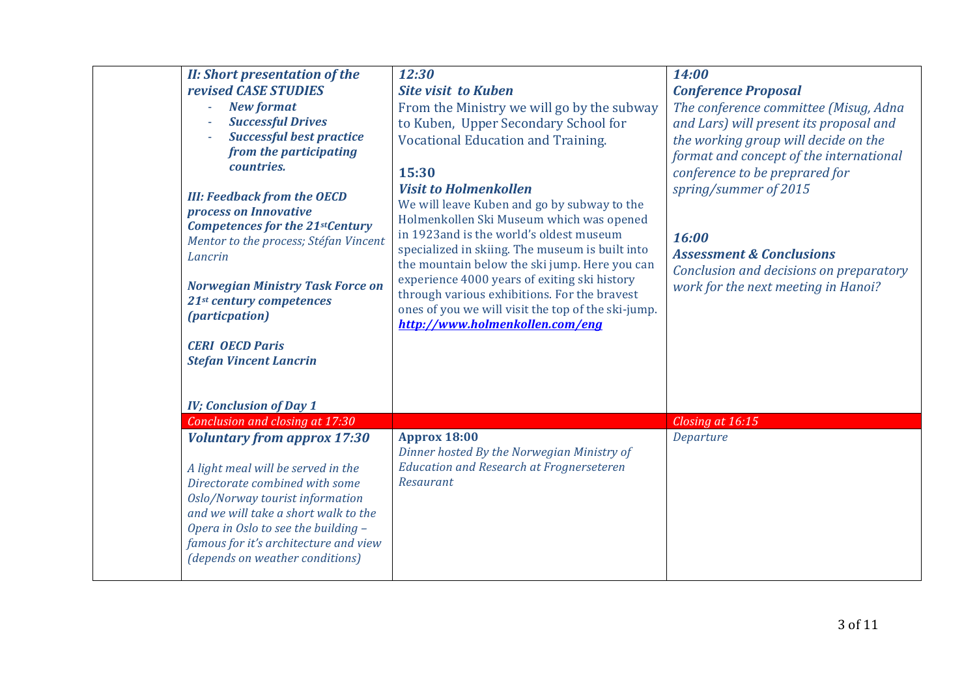| <b>II: Short presentation of the</b><br>revised CASE STUDIES<br><b>New format</b><br><b>Successful Drives</b><br><b>Successful best practice</b><br>from the participating<br>countries.<br><b>III: Feedback from the OECD</b><br>process on Innovative<br><b>Competences for the 21stCentury</b><br>Mentor to the process; Stéfan Vincent<br>Lancrin<br><b>Norwegian Ministry Task Force on</b><br>21st century competences<br><i>(particpation)</i><br><b>CERI OECD Paris</b><br><b>Stefan Vincent Lancrin</b><br><b>IV; Conclusion of Day 1</b> | 12:30<br><b>Site visit to Kuben</b><br>From the Ministry we will go by the subway<br>to Kuben, Upper Secondary School for<br>Vocational Education and Training.<br>15:30<br><b>Visit to Holmenkollen</b><br>We will leave Kuben and go by subway to the<br>Holmenkollen Ski Museum which was opened<br>in 1923 and is the world's oldest museum<br>specialized in skiing. The museum is built into<br>the mountain below the ski jump. Here you can<br>experience 4000 years of exiting ski history<br>through various exhibitions. For the bravest<br>ones of you we will visit the top of the ski-jump.<br>http://www.holmenkollen.com/eng | 14:00<br><b>Conference Proposal</b><br>The conference committee (Misug, Adna<br>and Lars) will present its proposal and<br>the working group will decide on the<br>format and concept of the international<br>conference to be preprared for<br>spring/summer of 2015<br>16:00<br><b>Assessment &amp; Conclusions</b><br>Conclusion and decisions on preparatory<br>work for the next meeting in Hanoi? |
|----------------------------------------------------------------------------------------------------------------------------------------------------------------------------------------------------------------------------------------------------------------------------------------------------------------------------------------------------------------------------------------------------------------------------------------------------------------------------------------------------------------------------------------------------|----------------------------------------------------------------------------------------------------------------------------------------------------------------------------------------------------------------------------------------------------------------------------------------------------------------------------------------------------------------------------------------------------------------------------------------------------------------------------------------------------------------------------------------------------------------------------------------------------------------------------------------------|---------------------------------------------------------------------------------------------------------------------------------------------------------------------------------------------------------------------------------------------------------------------------------------------------------------------------------------------------------------------------------------------------------|
| Conclusion and closing at 17:30                                                                                                                                                                                                                                                                                                                                                                                                                                                                                                                    |                                                                                                                                                                                                                                                                                                                                                                                                                                                                                                                                                                                                                                              | Closing at 16:15                                                                                                                                                                                                                                                                                                                                                                                        |
| <b>Voluntary from approx 17:30</b><br>A light meal will be served in the<br>Directorate combined with some<br>Oslo/Norway tourist information<br>and we will take a short walk to the<br>Opera in Oslo to see the building -<br>famous for it's architecture and view<br>(depends on weather conditions)                                                                                                                                                                                                                                           | <b>Approx 18:00</b><br>Dinner hosted By the Norwegian Ministry of<br><b>Education and Research at Frognerseteren</b><br>Resaurant                                                                                                                                                                                                                                                                                                                                                                                                                                                                                                            | Departure                                                                                                                                                                                                                                                                                                                                                                                               |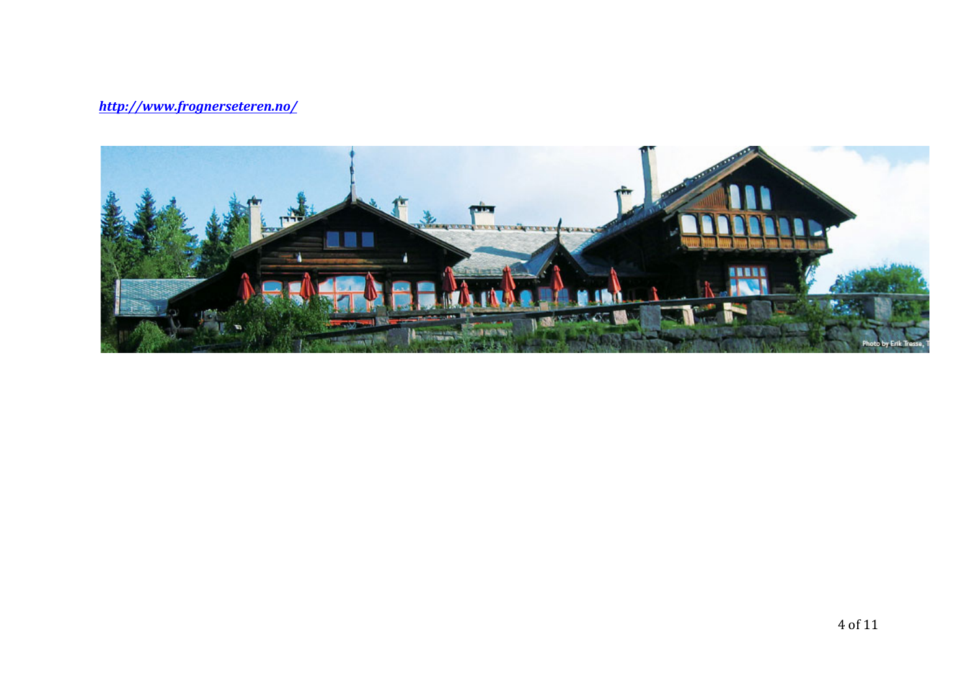## *http://www.frognerseteren.no/*

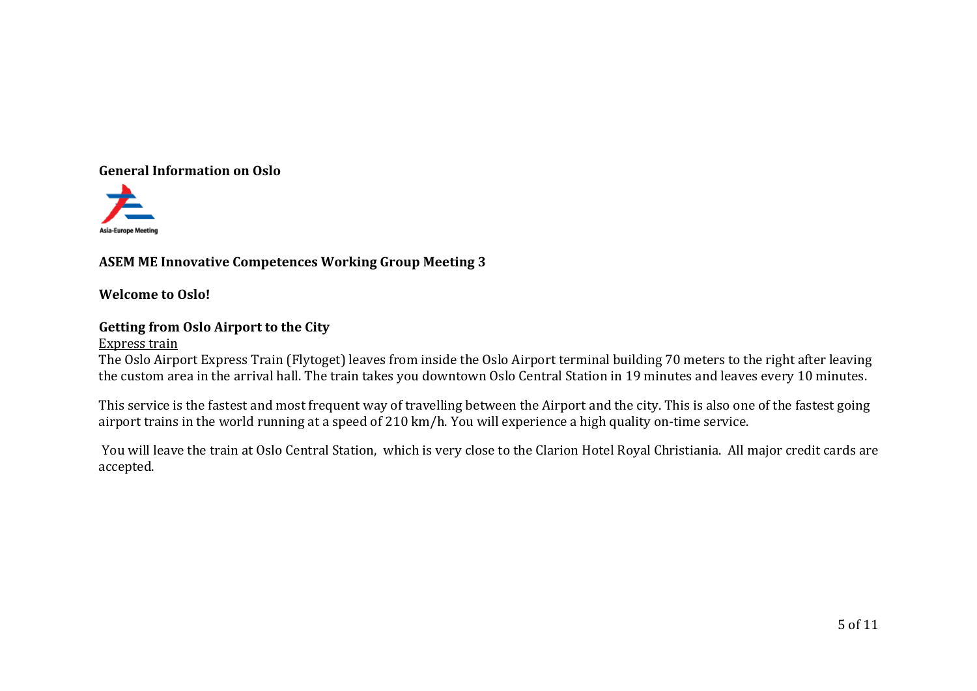## **General Information on Oslo**



## **ASEM ME Innovative Competences Working Group Meeting 3**

**Welcome** to Oslo!

## **Getting from Oslo Airport to the City**

#### Express train

The Oslo Airport Express Train (Flytoget) leaves from inside the Oslo Airport terminal building 70 meters to the right after leaving the custom area in the arrival hall. The train takes you downtown Oslo Central Station in 19 minutes and leaves every 10 minutes.

This service is the fastest and most frequent way of travelling between the Airport and the city. This is also one of the fastest going airport trains in the world running at a speed of 210 km/h. You will experience a high quality on-time service.

You will leave the train at Oslo Central Station, which is very close to the Clarion Hotel Royal Christiania. All major credit cards are accepted.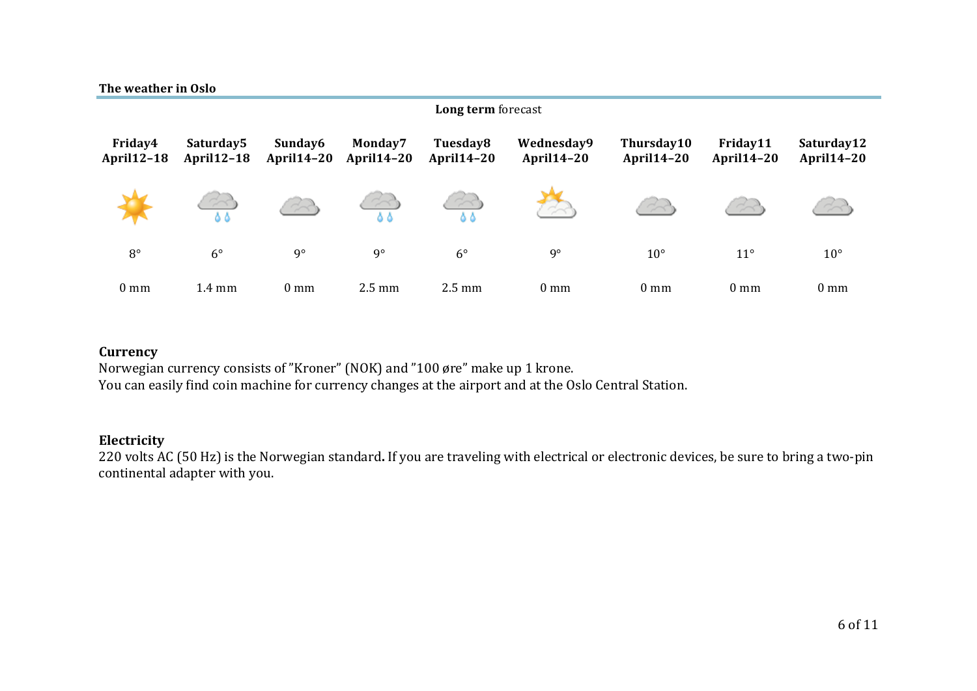| The weather in Oslo          |                                            |                              |                              | Long term forecast            |                                 |                                 |                               |                                 |  |
|------------------------------|--------------------------------------------|------------------------------|------------------------------|-------------------------------|---------------------------------|---------------------------------|-------------------------------|---------------------------------|--|
| Friday4<br><b>April12-18</b> | Saturday <sub>5</sub><br><b>April12-18</b> | Sunday6<br><b>April14-20</b> | Monday7<br><b>April14-20</b> | Tuesday8<br><b>April14-20</b> | Wednesday9<br><b>April14-20</b> | Thursday10<br><b>April14-20</b> | Friday11<br><b>April14-20</b> | Saturday12<br><b>April14-20</b> |  |
|                              | 55                                         |                              | $\sim$<br>55                 | $\sim$<br>8 A                 |                                 |                                 | $\sim$                        |                                 |  |
| $8^{\circ}$                  | $6^{\circ}$                                | $9^{\circ}$                  | $9^{\circ}$                  | $6^{\circ}$                   | $9^{\circ}$                     | $10^{\circ}$                    | $11^{\circ}$                  | $10^{\circ}$                    |  |
| $0 \text{ mm}$               | $1.4 \text{ mm}$                           | $0 \text{ mm}$               | $2.5 \text{ mm}$             | $2.5 \text{ mm}$              | $0 \text{ mm}$                  | $0 \text{ mm}$                  | 0 <sub>mm</sub>               | $0 \text{ mm}$                  |  |

## **Currency**

Norwegian currency consists of "Kroner" (NOK) and "100 øre" make up 1 krone. You can easily find coin machine for currency changes at the airport and at the Oslo Central Station.

### **Electricity**

220 volts AC (50 Hz) is the Norwegian standard. If you are traveling with electrical or electronic devices, be sure to bring a two-pin continental adapter with you.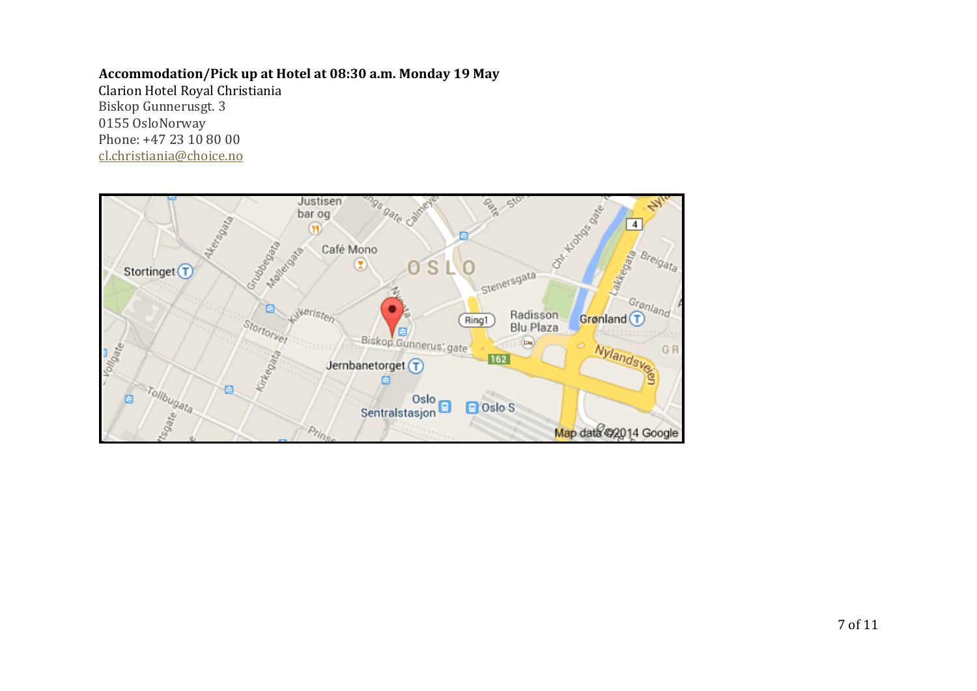#### **Accommodation/Pick up at Hotel at 08:30 a.m. Monday 19 May**

Clarion Hotel Royal Christiania Biskop Gunnerusgt. 3 0155 OsloNorway Phone: +47 23 10 80 00 cl.christiania@choice.no

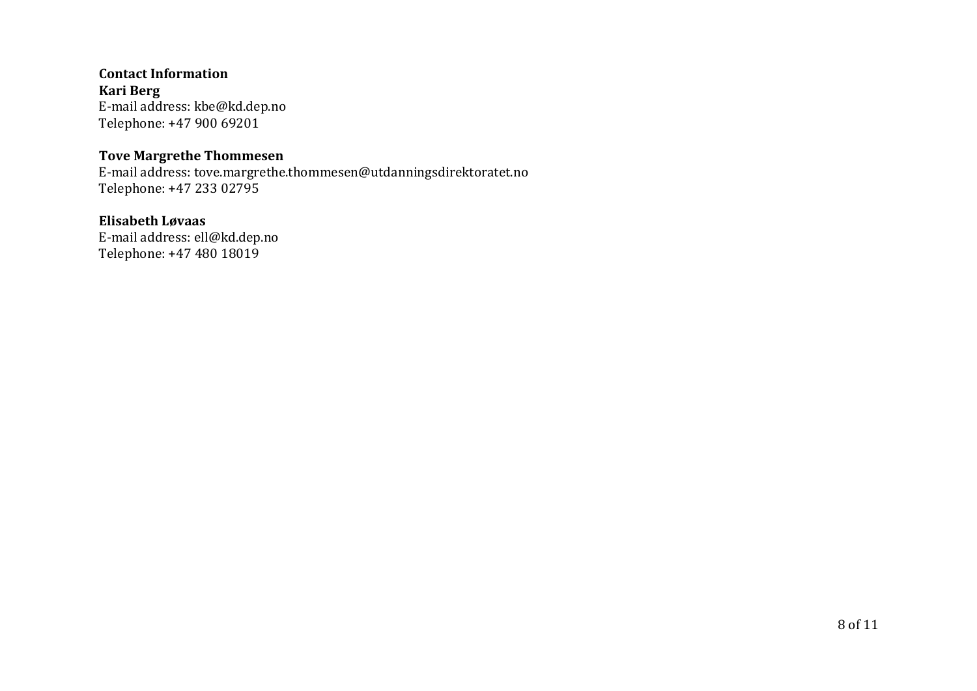**Contact Information Kari Berg**  E-mail address: kbe@kd.dep.no Telephone: +47 900 69201

#### **Tove Margrethe Thommesen**

E-mail address: tove.margrethe.thommesen@utdanningsdirektoratet.no Telephone: +47 233 02795

## **Elisabeth Løvaas**

E-mail address: ell@kd.dep.no Telephone: +47 480 18019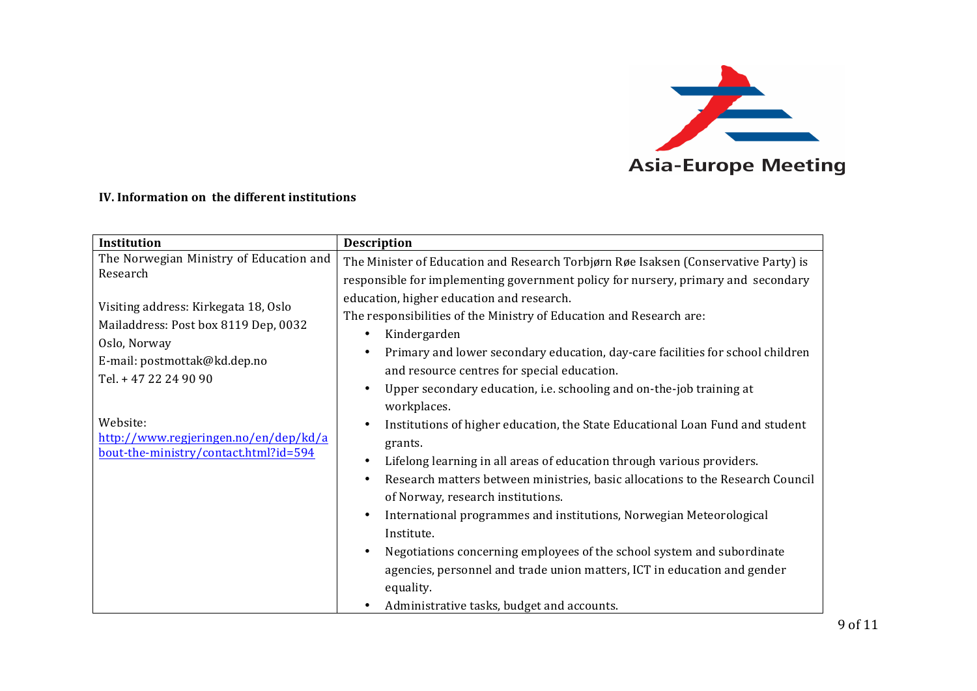

#### **IV.** Information on the different institutions

| Institution                                                                                                                                           | <b>Description</b>                                                                                                                                                                                                                                                                                                                                                                                                                                                                                                                                                                                             |
|-------------------------------------------------------------------------------------------------------------------------------------------------------|----------------------------------------------------------------------------------------------------------------------------------------------------------------------------------------------------------------------------------------------------------------------------------------------------------------------------------------------------------------------------------------------------------------------------------------------------------------------------------------------------------------------------------------------------------------------------------------------------------------|
| The Norwegian Ministry of Education and<br>Research                                                                                                   | The Minister of Education and Research Torbjørn Røe Isaksen (Conservative Party) is<br>responsible for implementing government policy for nursery, primary and secondary                                                                                                                                                                                                                                                                                                                                                                                                                                       |
| Visiting address: Kirkegata 18, Oslo<br>Mailaddress: Post box 8119 Dep, 0032<br>Oslo, Norway<br>E-mail: postmottak@kd.dep.no<br>Tel. + 47 22 24 90 90 | education, higher education and research.<br>The responsibilities of the Ministry of Education and Research are:<br>Kindergarden<br>Primary and lower secondary education, day-care facilities for school children<br>and resource centres for special education.<br>Upper secondary education, i.e. schooling and on-the-job training at                                                                                                                                                                                                                                                                      |
| Website:<br>http://www.regjeringen.no/en/dep/kd/a<br>bout-the-ministry/contact.html?id=594                                                            | workplaces.<br>Institutions of higher education, the State Educational Loan Fund and student<br>grants.<br>Lifelong learning in all areas of education through various providers.<br>Research matters between ministries, basic allocations to the Research Council<br>of Norway, research institutions.<br>International programmes and institutions, Norwegian Meteorological<br>Institute.<br>Negotiations concerning employees of the school system and subordinate<br>agencies, personnel and trade union matters, ICT in education and gender<br>equality.<br>Administrative tasks, budget and accounts. |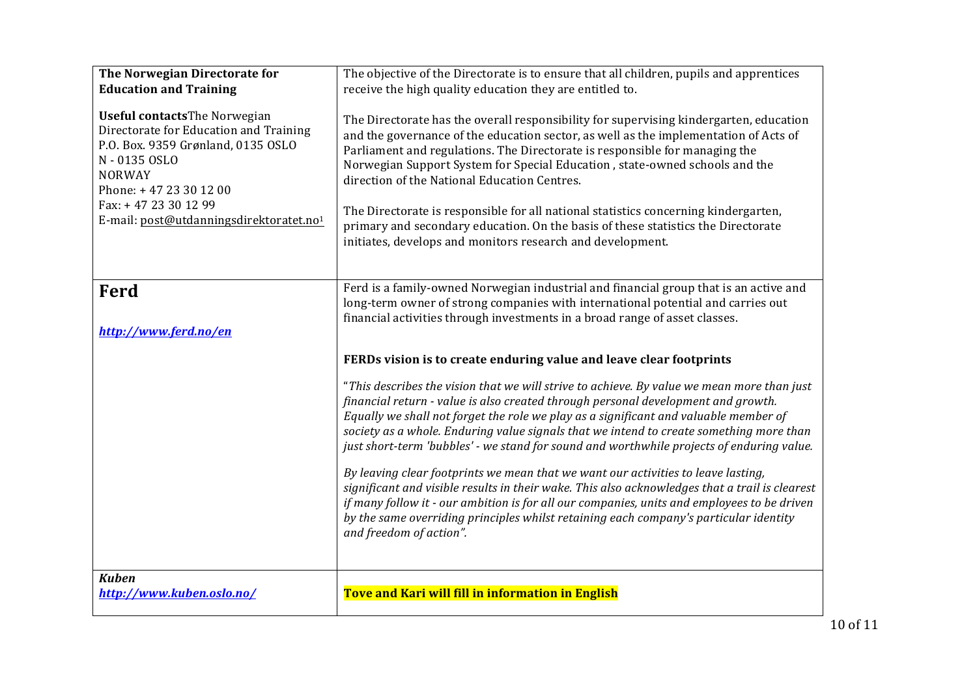| The Norwegian Directorate for<br><b>Education and Training</b><br><b>Useful contactsThe Norwegian</b><br>Directorate for Education and Training<br>P.O. Box. 9359 Grønland, 0135 OSLO<br>N - 0135 OSLO<br><b>NORWAY</b><br>Phone: +47 23 30 12 00<br>Fax: +47 23 30 12 99<br>E-mail: post@utdanningsdirektoratet.no1 | The objective of the Directorate is to ensure that all children, pupils and apprentices<br>receive the high quality education they are entitled to.<br>The Directorate has the overall responsibility for supervising kindergarten, education<br>and the governance of the education sector, as well as the implementation of Acts of<br>Parliament and regulations. The Directorate is responsible for managing the<br>Norwegian Support System for Special Education, state-owned schools and the<br>direction of the National Education Centres.<br>The Directorate is responsible for all national statistics concerning kindergarten,<br>primary and secondary education. On the basis of these statistics the Directorate<br>initiates, develops and monitors research and development.                                                                                                                                                    |
|----------------------------------------------------------------------------------------------------------------------------------------------------------------------------------------------------------------------------------------------------------------------------------------------------------------------|--------------------------------------------------------------------------------------------------------------------------------------------------------------------------------------------------------------------------------------------------------------------------------------------------------------------------------------------------------------------------------------------------------------------------------------------------------------------------------------------------------------------------------------------------------------------------------------------------------------------------------------------------------------------------------------------------------------------------------------------------------------------------------------------------------------------------------------------------------------------------------------------------------------------------------------------------|
| Ferd<br>http://www.ferd.no/en                                                                                                                                                                                                                                                                                        | Ferd is a family-owned Norwegian industrial and financial group that is an active and<br>long-term owner of strong companies with international potential and carries out<br>financial activities through investments in a broad range of asset classes.                                                                                                                                                                                                                                                                                                                                                                                                                                                                                                                                                                                                                                                                                         |
|                                                                                                                                                                                                                                                                                                                      | FERDs vision is to create enduring value and leave clear footprints<br>"This describes the vision that we will strive to achieve. By value we mean more than just<br>financial return - value is also created through personal development and growth.<br>Equally we shall not forget the role we play as a significant and valuable member of<br>society as a whole. Enduring value signals that we intend to create something more than<br>just short-term 'bubbles' - we stand for sound and worthwhile projects of enduring value.<br>By leaving clear footprints we mean that we want our activities to leave lasting,<br>significant and visible results in their wake. This also acknowledges that a trail is clearest<br>if many follow it - our ambition is for all our companies, units and employees to be driven<br>by the same overriding principles whilst retaining each company's particular identity<br>and freedom of action". |
| <b>Kuben</b><br>http://www.kuben.oslo.no/                                                                                                                                                                                                                                                                            | Tove and Kari will fill in information in English                                                                                                                                                                                                                                                                                                                                                                                                                                                                                                                                                                                                                                                                                                                                                                                                                                                                                                |